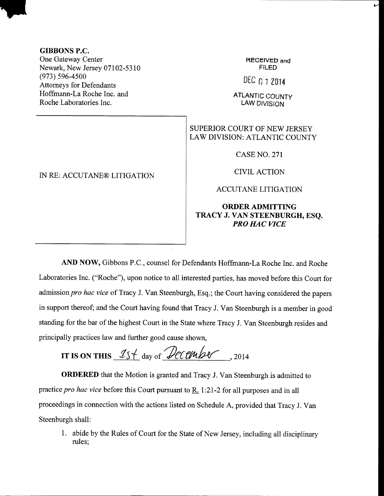#### GIBBONS P.C.

One Gateway Center Newark, New Jersey 07102-5310  $(973) 596 - 4500$ Attorneys for Defendants Hoffmann-La Roche Inc. and Roche Laboratories Inc.

### IN RE: ACCUTANE@ LITIGATION

KECEIVED and FILED

DEC 0 1 2014

**ATLANTIC COUNTY** LAW DIVISION

## SUPERIOR COURT OF NEW JERSEY LAW DIVISION: ATLANTIC COUNTY

CASE NO. 271

CIVIL ACTION

#### ACCUTANE LITIGATION

## ORDER ADMITTING TRACY J. VAN STEENBURGH, ESQ. PRO HAC VICE

AND NOW, Gibbons P.C., counsel for Defendants Hoffrnann-La Roche Inc. and Roche Laboratories Inc. ("Roche"), upon notice to all interested parties, has moved before this Court for admission pro hac vice of Tracy J. Van Steenburgh, Esq.; the Court having considered the papers in support thereof; and the Court having found that Tracy J. Van Steenburgh is a member in good standing for the bar of the highest Court in the State where Tracy J. Van Steenburgh resides and principally practices law and funher good cause shown,

IT IS ON THIS  $15 + \text{day of }$  december, 2014

ORDERED that the Motion is granted and Tracy J. Van Steenburgh is admitted to practice pro hac vice before this Court pursuant to R. 1 :2I-2 for all purposes and in all proceedings in connection with the actions listed on Schedule A, provided that Tracy J. Van Steenburgh shall:

1. abide by the Rules of Court for the State of New Jersey, including all disciplinary rules;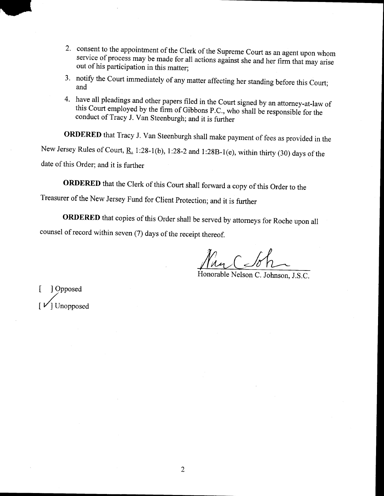- 2. consent to the appointment of the Clerk of the Supreme Court as an agent upon whom service of process may be made for all actions against she and her firm that may arise out of his participation in this matter;
- 3' notify the Court immediately of any matter affecting her standing before this Court; and
- 4. have all pleadings and other papers filed in the Court signed by an attorney-at-law of this Court employed by the firm of Gibbons P.C., who shall be responsible for the conduct of Tracy J. Van Steenburgh; and it is further

ORDERED that Tracy J. Van Steenburgh shall make payment of fees as provided in the New Jersey Rules of Court,  $\underline{R}$ . 1:28-1(b), 1:28-2 and 1:28B-1(e), within thirty (30) days of the date of this Order; and it is further

ORDERED that the Clerk of this Court shall forward a copy of this Order to the

Treasurer of the New Jersey Fund for client protection; and it is further

ORDERED that copies of this Order shall be served by attorneys for Roche upon all counsel of record within seven (7) days of the receipt thereof.

Kny C So

Honorable Nelson C. Johnson, J.S.C.

[ ]Opposed Unopposed